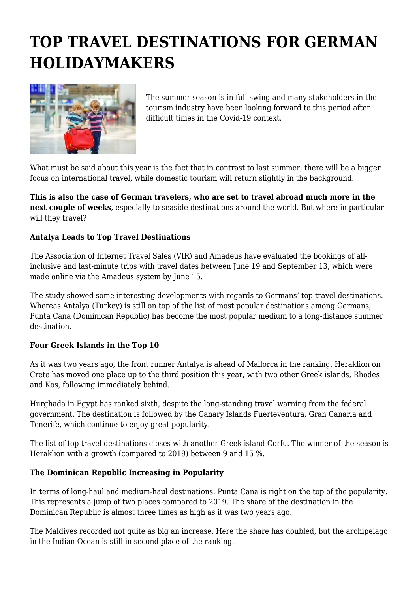# **TOP TRAVEL DESTINATIONS FOR GERMAN HOLIDAYMAKERS**



The summer season is in full swing and many stakeholders in the tourism industry have been looking forward to this period after difficult times in the Covid-19 context.

What must be said about this year is the fact that in contrast to last summer, there will be a bigger focus on international travel, while domestic tourism will return slightly in the background.

**This is also the case of German travelers, who are set to travel abroad much more in the next couple of weeks**, especially to seaside destinations around the world. But where in particular will they travel?

## **Antalya Leads to Top Travel Destinations**

The Association of Internet Travel Sales (VIR) and Amadeus have evaluated the bookings of allinclusive and last-minute trips with travel dates between June 19 and September 13, which were made online via the Amadeus system by June 15.

The study showed some interesting developments with regards to Germans' top travel destinations. Whereas Antalya (Turkey) is still on top of the list of most popular destinations among Germans, Punta Cana (Dominican Republic) has become the most popular medium to a long-distance summer destination.

#### **Four Greek Islands in the Top 10**

As it was two years ago, the front runner Antalya is ahead of Mallorca in the ranking. Heraklion on Crete has moved one place up to the third position this year, with two other Greek islands, Rhodes and Kos, following immediately behind.

Hurghada in Egypt has ranked sixth, despite the long-standing travel warning from the federal government. The destination is followed by the Canary Islands Fuerteventura, Gran Canaria and Tenerife, which continue to enjoy great popularity.

The list of top travel destinations closes with another Greek island Corfu. The winner of the season is Heraklion with a growth (compared to 2019) between 9 and 15 %.

#### **The Dominican Republic Increasing in Popularity**

In terms of long-haul and medium-haul destinations, Punta Cana is right on the top of the popularity. This represents a jump of two places compared to 2019. The share of the destination in the Dominican Republic is almost three times as high as it was two years ago.

The Maldives recorded not quite as big an increase. Here the share has doubled, but the archipelago in the Indian Ocean is still in second place of the ranking.